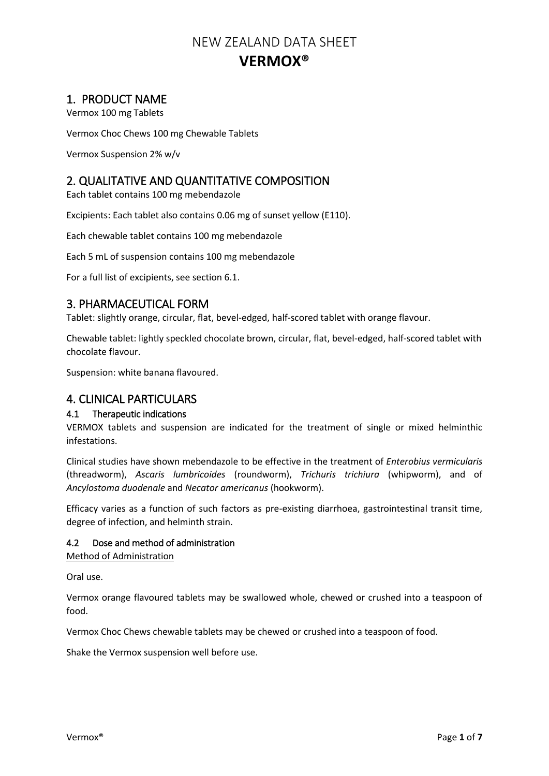# 1. PRODUCT NAME

Vermox 100 mg Tablets

Vermox Choc Chews 100 mg Chewable Tablets

Vermox Suspension 2% w/v

# 2. QUALITATIVE AND QUANTITATIVE COMPOSITION

Each tablet contains 100 mg mebendazole

Excipients: Each tablet also contains 0.06 mg of sunset yellow (E110).

Each chewable tablet contains 100 mg mebendazole

Each 5 mL of suspension contains 100 mg mebendazole

For a full list of excipients, see section 6.1.

# 3. PHARMACEUTICAL FORM

Tablet: slightly orange, circular, flat, bevel-edged, half-scored tablet with orange flavour.

Chewable tablet: lightly speckled chocolate brown, circular, flat, bevel-edged, half-scored tablet with chocolate flavour.

Suspension: white banana flavoured.

# 4. CLINICAL PARTICULARS

# 4.1 Therapeutic indications

VERMOX tablets and suspension are indicated for the treatment of single or mixed helminthic infestations.

Clinical studies have shown mebendazole to be effective in the treatment of *Enterobius vermicularis* (threadworm), *Ascaris lumbricoides* (roundworm), *Trichuris trichiura* (whipworm), and of *Ancylostoma duodenale* and *Necator americanus* (hookworm).

Efficacy varies as a function of such factors as pre-existing diarrhoea, gastrointestinal transit time, degree of infection, and helminth strain.

## 4.2 Dose and method of administration

Method of Administration

Oral use.

Vermox orange flavoured tablets may be swallowed whole, chewed or crushed into a teaspoon of food.

Vermox Choc Chews chewable tablets may be chewed or crushed into a teaspoon of food.

Shake the Vermox suspension well before use.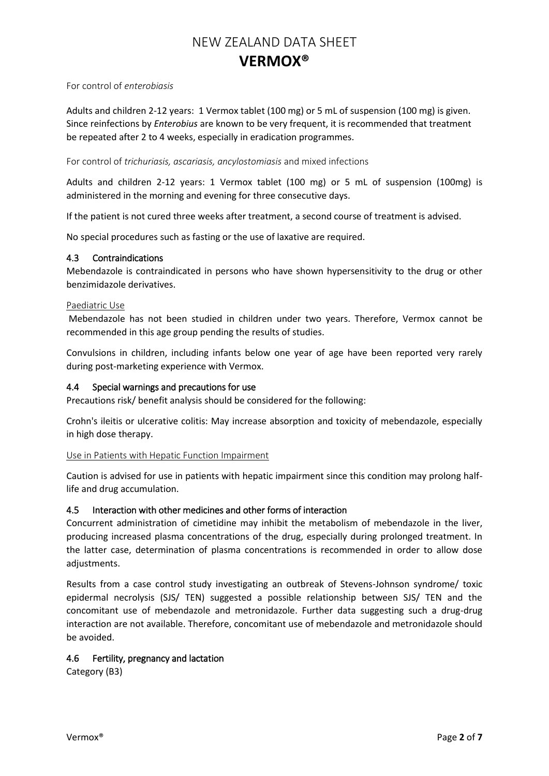## For control of *enterobiasis*

Adults and children 2-12 years: 1 Vermox tablet (100 mg) or 5 mL of suspension (100 mg) is given. Since reinfections by *Enterobius* are known to be very frequent, it is recommended that treatment be repeated after 2 to 4 weeks, especially in eradication programmes.

### For control of *trichuriasis, ascariasis, ancylostomiasis* and mixed infections

Adults and children 2-12 years: 1 Vermox tablet (100 mg) or 5 mL of suspension (100mg) is administered in the morning and evening for three consecutive days.

If the patient is not cured three weeks after treatment, a second course of treatment is advised.

No special procedures such as fasting or the use of laxative are required.

## 4.3 Contraindications

Mebendazole is contraindicated in persons who have shown hypersensitivity to the drug or other benzimidazole derivatives.

### Paediatric Use

Mebendazole has not been studied in children under two years. Therefore, Vermox cannot be recommended in this age group pending the results of studies.

Convulsions in children, including infants below one year of age have been reported very rarely during post-marketing experience with Vermox.

## 4.4 Special warnings and precautions for use

Precautions risk/ benefit analysis should be considered for the following:

Crohn's ileitis or ulcerative colitis: May increase absorption and toxicity of mebendazole, especially in high dose therapy.

## Use in Patients with Hepatic Function Impairment

Caution is advised for use in patients with hepatic impairment since this condition may prolong halflife and drug accumulation.

## 4.5 Interaction with other medicines and other forms of interaction

Concurrent administration of cimetidine may inhibit the metabolism of mebendazole in the liver, producing increased plasma concentrations of the drug, especially during prolonged treatment. In the latter case, determination of plasma concentrations is recommended in order to allow dose adjustments.

Results from a case control study investigating an outbreak of Stevens-Johnson syndrome/ toxic epidermal necrolysis (SJS/ TEN) suggested a possible relationship between SJS/ TEN and the concomitant use of mebendazole and metronidazole. Further data suggesting such a drug-drug interaction are not available. Therefore, concomitant use of mebendazole and metronidazole should be avoided.

## 4.6 Fertility, pregnancy and lactation

Category (B3)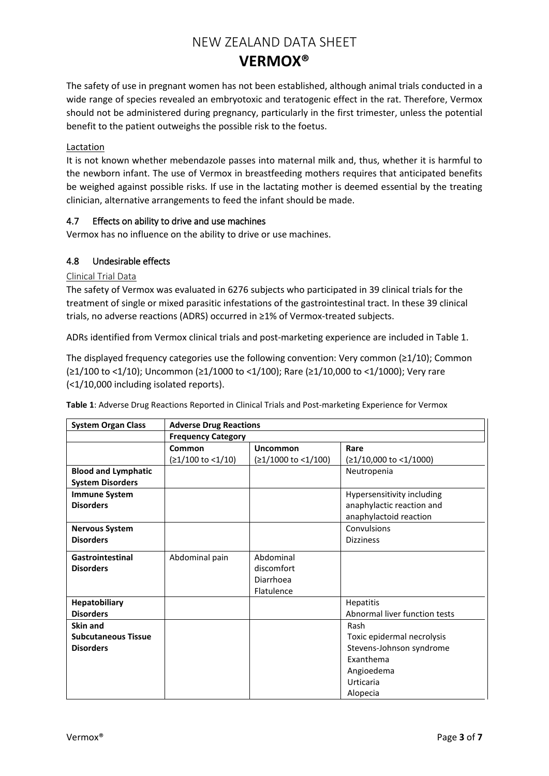The safety of use in pregnant women has not been established, although animal trials conducted in a wide range of species revealed an embryotoxic and teratogenic effect in the rat. Therefore, Vermox should not be administered during pregnancy, particularly in the first trimester, unless the potential benefit to the patient outweighs the possible risk to the foetus.

## Lactation

It is not known whether mebendazole passes into maternal milk and, thus, whether it is harmful to the newborn infant. The use of Vermox in breastfeeding mothers requires that anticipated benefits be weighed against possible risks. If use in the lactating mother is deemed essential by the treating clinician, alternative arrangements to feed the infant should be made.

## 4.7 Effects on ability to drive and use machines

Vermox has no influence on the ability to drive or use machines.

## 4.8 Undesirable effects

## Clinical Trial Data

The safety of Vermox was evaluated in 6276 subjects who participated in 39 clinical trials for the treatment of single or mixed parasitic infestations of the gastrointestinal tract. In these 39 clinical trials, no adverse reactions (ADRS) occurred in ≥1% of Vermox-treated subjects.

ADRs identified from Vermox clinical trials and post-marketing experience are included in Table 1.

The displayed frequency categories use the following convention: Very common (≥1/10); Common (≥1/100 to <1/10); Uncommon (≥1/1000 to <1/100); Rare (≥1/10,000 to <1/1000); Very rare (<1/10,000 including isolated reports).

| <b>System Organ Class</b>  | <b>Adverse Drug Reactions</b> |                               |                               |
|----------------------------|-------------------------------|-------------------------------|-------------------------------|
|                            | <b>Frequency Category</b>     |                               |                               |
|                            | Common                        | Uncommon                      | Rare                          |
|                            | $(≥1/100$ to <1/10)           | $(21/1000 \text{ to } 1/100)$ | $(≥1/10,000$ to <1/1000)      |
| <b>Blood and Lymphatic</b> |                               |                               | Neutropenia                   |
| <b>System Disorders</b>    |                               |                               |                               |
| <b>Immune System</b>       |                               |                               | Hypersensitivity including    |
| <b>Disorders</b>           |                               |                               | anaphylactic reaction and     |
|                            |                               |                               | anaphylactoid reaction        |
| <b>Nervous System</b>      |                               |                               | Convulsions                   |
| <b>Disorders</b>           |                               |                               | <b>Dizziness</b>              |
| Gastrointestinal           | Abdominal pain                | Abdominal                     |                               |
| <b>Disorders</b>           |                               | discomfort                    |                               |
|                            |                               | Diarrhoea                     |                               |
|                            |                               | Flatulence                    |                               |
| Hepatobiliary              |                               |                               | Hepatitis                     |
| <b>Disorders</b>           |                               |                               | Abnormal liver function tests |
| Skin and                   |                               |                               | Rash                          |
| <b>Subcutaneous Tissue</b> |                               |                               | Toxic epidermal necrolysis    |
| <b>Disorders</b>           |                               |                               | Stevens-Johnson syndrome      |
|                            |                               |                               | Exanthema                     |
|                            |                               |                               | Angioedema                    |
|                            |                               |                               | Urticaria                     |
|                            |                               |                               | Alopecia                      |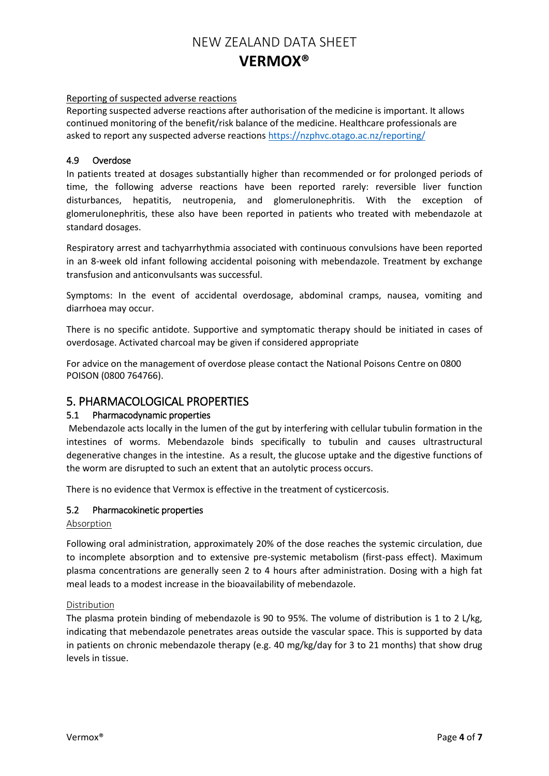## Reporting of suspected adverse reactions

Reporting suspected adverse reactions after authorisation of the medicine is important. It allows continued monitoring of the benefit/risk balance of the medicine. Healthcare professionals are asked to report any suspected adverse reactions <https://nzphvc.otago.ac.nz/reporting/>

### 4.9 Overdose

In patients treated at dosages substantially higher than recommended or for prolonged periods of time, the following adverse reactions have been reported rarely: reversible liver function disturbances, hepatitis, neutropenia, and glomerulonephritis. With the exception of glomerulonephritis, these also have been reported in patients who treated with mebendazole at standard dosages.

Respiratory arrest and tachyarrhythmia associated with continuous convulsions have been reported in an 8-week old infant following accidental poisoning with mebendazole. Treatment by exchange transfusion and anticonvulsants was successful.

Symptoms: In the event of accidental overdosage, abdominal cramps, nausea, vomiting and diarrhoea may occur.

There is no specific antidote. Supportive and symptomatic therapy should be initiated in cases of overdosage. Activated charcoal may be given if considered appropriate

For advice on the management of overdose please contact the National Poisons Centre on 0800 POISON (0800 764766).

# 5. PHARMACOLOGICAL PROPERTIES

## 5.1 Pharmacodynamic properties

Mebendazole acts locally in the lumen of the gut by interfering with cellular tubulin formation in the intestines of worms. Mebendazole binds specifically to tubulin and causes ultrastructural degenerative changes in the intestine. As a result, the glucose uptake and the digestive functions of the worm are disrupted to such an extent that an autolytic process occurs.

There is no evidence that Vermox is effective in the treatment of cysticercosis.

## 5.2 Pharmacokinetic properties

#### Absorption

Following oral administration, approximately 20% of the dose reaches the systemic circulation, due to incomplete absorption and to extensive pre-systemic metabolism (first-pass effect). Maximum plasma concentrations are generally seen 2 to 4 hours after administration. Dosing with a high fat meal leads to a modest increase in the bioavailability of mebendazole.

#### Distribution

The plasma protein binding of mebendazole is 90 to 95%. The volume of distribution is 1 to 2 L/kg, indicating that mebendazole penetrates areas outside the vascular space. This is supported by data in patients on chronic mebendazole therapy (e.g. 40 mg/kg/day for 3 to 21 months) that show drug levels in tissue.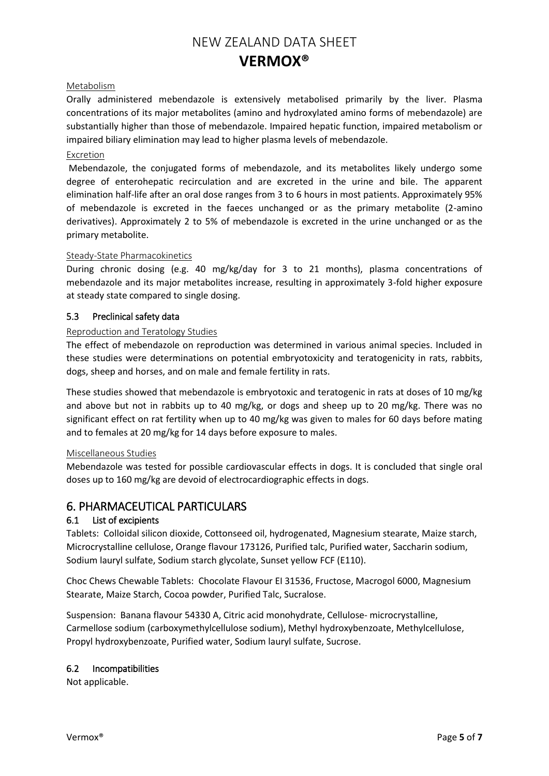## Metabolism

Orally administered mebendazole is extensively metabolised primarily by the liver. Plasma concentrations of its major metabolites (amino and hydroxylated amino forms of mebendazole) are substantially higher than those of mebendazole. Impaired hepatic function, impaired metabolism or impaired biliary elimination may lead to higher plasma levels of mebendazole.

### Excretion

Mebendazole, the conjugated forms of mebendazole, and its metabolites likely undergo some degree of enterohepatic recirculation and are excreted in the urine and bile. The apparent elimination half-life after an oral dose ranges from 3 to 6 hours in most patients. Approximately 95% of mebendazole is excreted in the faeces unchanged or as the primary metabolite (2-amino derivatives). Approximately 2 to 5% of mebendazole is excreted in the urine unchanged or as the primary metabolite.

#### Steady-State Pharmacokinetics

During chronic dosing (e.g. 40 mg/kg/day for 3 to 21 months), plasma concentrations of mebendazole and its major metabolites increase, resulting in approximately 3-fold higher exposure at steady state compared to single dosing.

## 5.3 Preclinical safety data

#### Reproduction and Teratology Studies

The effect of mebendazole on reproduction was determined in various animal species. Included in these studies were determinations on potential embryotoxicity and teratogenicity in rats, rabbits, dogs, sheep and horses, and on male and female fertility in rats.

These studies showed that mebendazole is embryotoxic and teratogenic in rats at doses of 10 mg/kg and above but not in rabbits up to 40 mg/kg, or dogs and sheep up to 20 mg/kg. There was no significant effect on rat fertility when up to 40 mg/kg was given to males for 60 days before mating and to females at 20 mg/kg for 14 days before exposure to males.

#### Miscellaneous Studies

Mebendazole was tested for possible cardiovascular effects in dogs. It is concluded that single oral doses up to 160 mg/kg are devoid of electrocardiographic effects in dogs.

# 6. PHARMACEUTICAL PARTICULARS

## 6.1 List of excipients

Tablets: Colloidal silicon dioxide, Cottonseed oil, hydrogenated, Magnesium stearate, Maize starch, Microcrystalline cellulose, Orange flavour 173126, Purified talc, Purified water, Saccharin sodium, Sodium lauryl sulfate, Sodium starch glycolate, Sunset yellow FCF (E110).

Choc Chews Chewable Tablets: Chocolate Flavour EI 31536, Fructose, Macrogol 6000, Magnesium Stearate, Maize Starch, Cocoa powder, Purified Talc, Sucralose.

Suspension: Banana flavour 54330 A, Citric acid monohydrate, Cellulose- microcrystalline, Carmellose sodium (carboxymethylcellulose sodium), Methyl hydroxybenzoate, Methylcellulose, Propyl hydroxybenzoate, Purified water, Sodium lauryl sulfate, Sucrose.

## 6.2 Incompatibilities

Not applicable.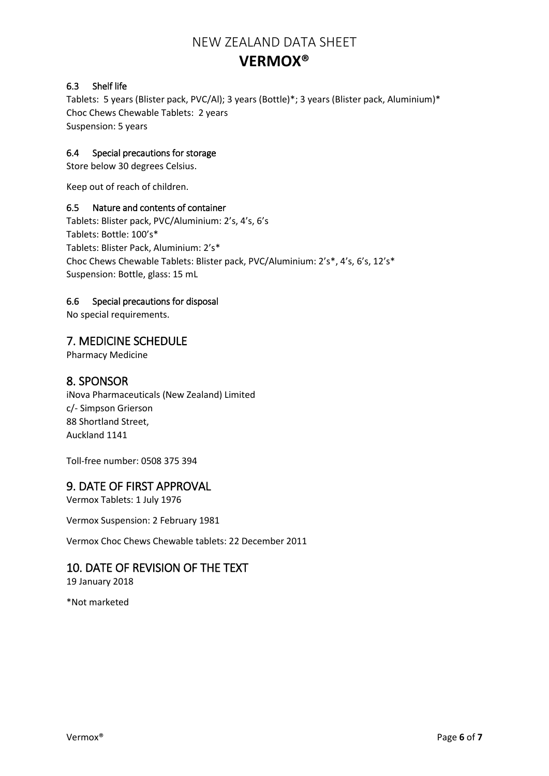# 6.3 Shelf life

Tablets: 5 years (Blister pack, PVC/Al); 3 years (Bottle)\*; 3 years (Blister pack, Aluminium)\* Choc Chews Chewable Tablets: 2 years Suspension: 5 years

# 6.4 Special precautions for storage

Store below 30 degrees Celsius.

Keep out of reach of children.

# 6.5 Nature and contents of container

Tablets: Blister pack, PVC/Aluminium: 2's, 4's, 6's Tablets: Bottle: 100's\* Tablets: Blister Pack, Aluminium: 2's\* Choc Chews Chewable Tablets: Blister pack, PVC/Aluminium: 2's\*, 4's, 6's, 12's\* Suspension: Bottle, glass: 15 mL

# 6.6 Special precautions for disposal

No special requirements.

# 7. MEDICINE SCHEDULE

Pharmacy Medicine

# 8. SPONSOR

iNova Pharmaceuticals (New Zealand) Limited c/- Simpson Grierson 88 Shortland Street, Auckland 1141

Toll-free number: 0508 375 394

# 9. DATE OF FIRST APPROVAL

Vermox Tablets: 1 July 1976

Vermox Suspension: 2 February 1981

Vermox Choc Chews Chewable tablets: 22 December 2011

# 10. DATE OF REVISION OF THE TEXT

19 January 2018

\*Not marketed